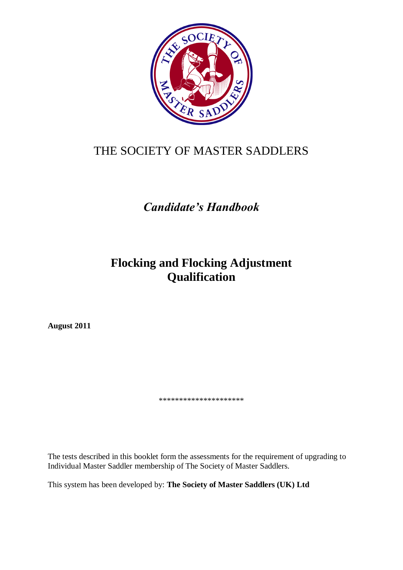

# THE SOCIETY OF MASTER SADDLERS

# *Candidate's Handbook*

## **Flocking and Flocking Adjustment Qualification**

**August 2011**

\*\*\*\*\*\*\*\*\*\*\*\*\*\*\*\*\*\*\*\*\*

The tests described in this booklet form the assessments for the requirement of upgrading to Individual Master Saddler membership of The Society of Master Saddlers.

This system has been developed by: **The Society of Master Saddlers (UK) Ltd**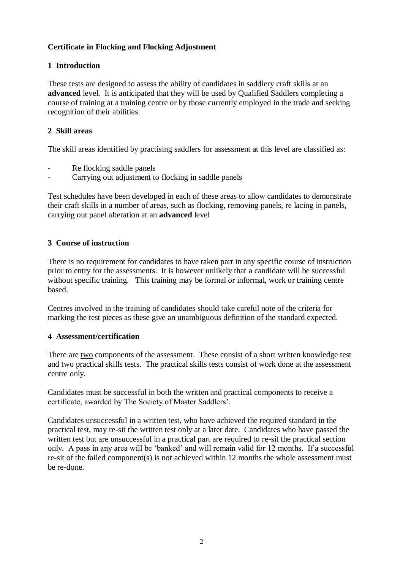## **Certificate in Flocking and Flocking Adjustment**

## **1 Introduction**

These tests are designed to assess the ability of candidates in saddlery craft skills at an **advanced** level. It is anticipated that they will be used by Qualified Saddlers completing a course of training at a training centre or by those currently employed in the trade and seeking recognition of their abilities.

## **2 Skill areas**

The skill areas identified by practising saddlers for assessment at this level are classified as:

- Re flocking saddle panels
- Carrying out adjustment to flocking in saddle panels

Test schedules have been developed in each of these areas to allow candidates to demonstrate their craft skills in a number of areas, such as flocking, removing panels, re lacing in panels, carrying out panel alteration at an **advanced** level

#### **3 Course of instruction**

There is no requirement for candidates to have taken part in any specific course of instruction prior to entry for the assessments. It is however unlikely that a candidate will be successful without specific training. This training may be formal or informal, work or training centre based.

Centres involved in the training of candidates should take careful note of the criteria for marking the test pieces as these give an unambiguous definition of the standard expected.

#### **4 Assessment/certification**

There are two components of the assessment. These consist of a short written knowledge test and two practical skills tests. The practical skills tests consist of work done at the assessment centre only.

Candidates must be successful in both the written and practical components to receive a certificate, awarded by The Society of Master Saddlers'.

Candidates unsuccessful in a written test, who have achieved the required standard in the practical test, may re-sit the written test only at a later date. Candidates who have passed the written test but are unsuccessful in a practical part are required to re-sit the practical section only. A pass in any area will be 'banked' and will remain valid for 12 months. If a successful re-sit of the failed component(s) is not achieved within 12 months the whole assessment must be re-done.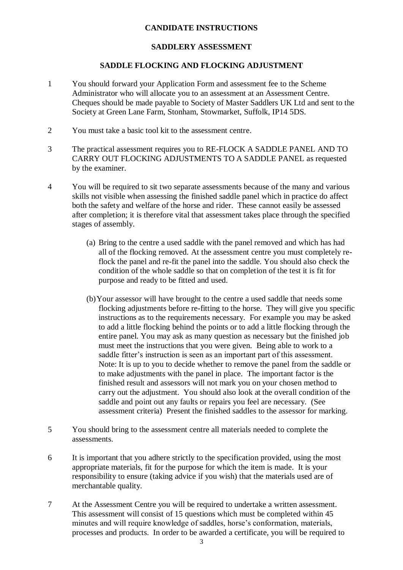#### **CANDIDATE INSTRUCTIONS**

#### **SADDLERY ASSESSMENT**

#### **SADDLE FLOCKING AND FLOCKING ADJUSTMENT**

- 1 You should forward your Application Form and assessment fee to the Scheme Administrator who will allocate you to an assessment at an Assessment Centre. Cheques should be made payable to Society of Master Saddlers UK Ltd and sent to the Society at Green Lane Farm, Stonham, Stowmarket, Suffolk, IP14 5DS.
- 2 You must take a basic tool kit to the assessment centre.
- 3 The practical assessment requires you to RE-FLOCK A SADDLE PANEL AND TO CARRY OUT FLOCKING ADJUSTMENTS TO A SADDLE PANEL as requested by the examiner.
- 4 You will be required to sit two separate assessments because of the many and various skills not visible when assessing the finished saddle panel which in practice do affect both the safety and welfare of the horse and rider. These cannot easily be assessed after completion; it is therefore vital that assessment takes place through the specified stages of assembly.
	- (a) Bring to the centre a used saddle with the panel removed and which has had all of the flocking removed. At the assessment centre you must completely reflock the panel and re-fit the panel into the saddle. You should also check the condition of the whole saddle so that on completion of the test it is fit for purpose and ready to be fitted and used.
	- (b)Your assessor will have brought to the centre a used saddle that needs some flocking adjustments before re-fitting to the horse. They will give you specific instructions as to the requirements necessary. For example you may be asked to add a little flocking behind the points or to add a little flocking through the entire panel. You may ask as many question as necessary but the finished job must meet the instructions that you were given. Being able to work to a saddle fitter's instruction is seen as an important part of this assessment. Note: It is up to you to decide whether to remove the panel from the saddle or to make adjustments with the panel in place. The important factor is the finished result and assessors will not mark you on your chosen method to carry out the adjustment. You should also look at the overall condition of the saddle and point out any faults or repairs you feel are necessary. (See assessment criteria) Present the finished saddles to the assessor for marking.
- 5 You should bring to the assessment centre all materials needed to complete the assessments.
- 6 It is important that you adhere strictly to the specification provided, using the most appropriate materials, fit for the purpose for which the item is made. It is your responsibility to ensure (taking advice if you wish) that the materials used are of merchantable quality.
- 7 At the Assessment Centre you will be required to undertake a written assessment. This assessment will consist of 15 questions which must be completed within 45 minutes and will require knowledge of saddles, horse's conformation, materials, processes and products. In order to be awarded a certificate, you will be required to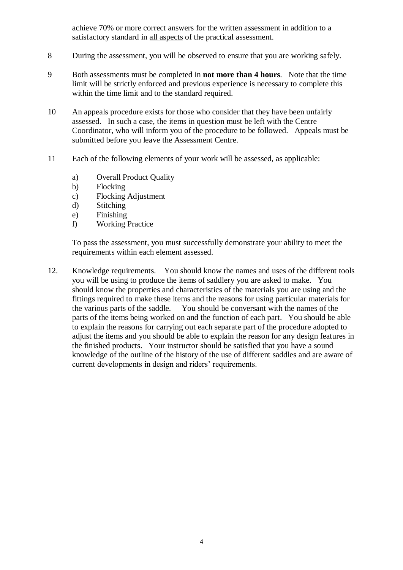achieve 70% or more correct answers for the written assessment in addition to a satisfactory standard in all aspects of the practical assessment.

- 8 During the assessment, you will be observed to ensure that you are working safely.
- 9 Both assessments must be completed in **not more than 4 hours**. Note that the time limit will be strictly enforced and previous experience is necessary to complete this within the time limit and to the standard required.
- 10 An appeals procedure exists for those who consider that they have been unfairly assessed. In such a case, the items in question must be left with the Centre Coordinator, who will inform you of the procedure to be followed. Appeals must be submitted before you leave the Assessment Centre.
- 11 Each of the following elements of your work will be assessed, as applicable:
	- a) Overall Product Quality
	- b) Flocking
	- c) Flocking Adjustment
	- d) Stitching
	- e) Finishing
	- f) Working Practice

To pass the assessment, you must successfully demonstrate your ability to meet the requirements within each element assessed.

12. Knowledge requirements. You should know the names and uses of the different tools you will be using to produce the items of saddlery you are asked to make. You should know the properties and characteristics of the materials you are using and the fittings required to make these items and the reasons for using particular materials for the various parts of the saddle. You should be conversant with the names of the parts of the items being worked on and the function of each part. You should be able to explain the reasons for carrying out each separate part of the procedure adopted to adjust the items and you should be able to explain the reason for any design features in the finished products. Your instructor should be satisfied that you have a sound knowledge of the outline of the history of the use of different saddles and are aware of current developments in design and riders' requirements.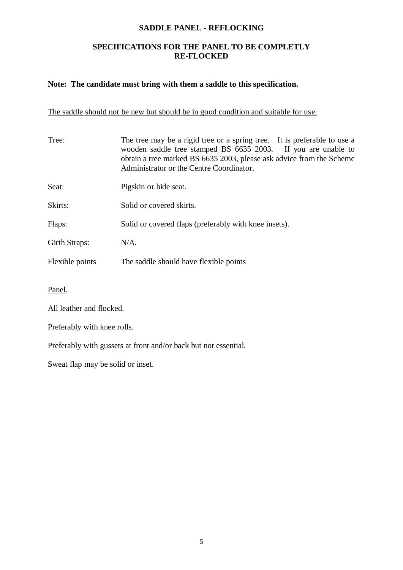#### **SADDLE PANEL - REFLOCKING**

### **SPECIFICATIONS FOR THE PANEL TO BE COMPLETLY RE-FLOCKED**

#### **Note: The candidate must bring with them a saddle to this specification.**

## The saddle should not be new but should be in good condition and suitable for use.

| Tree:           | The tree may be a rigid tree or a spring tree. It is preferable to use a<br>wooden saddle tree stamped BS 6635 2003. If you are unable to<br>obtain a tree marked BS 6635 2003, please ask advice from the Scheme<br>Administrator or the Centre Coordinator. |
|-----------------|---------------------------------------------------------------------------------------------------------------------------------------------------------------------------------------------------------------------------------------------------------------|
| Seat:           | Pigskin or hide seat.                                                                                                                                                                                                                                         |
| Skirts:         | Solid or covered skirts.                                                                                                                                                                                                                                      |
| Flaps:          | Solid or covered flaps (preferably with knee insets).                                                                                                                                                                                                         |
| Girth Straps:   | $N/A$ .                                                                                                                                                                                                                                                       |
| Flexible points | The saddle should have flexible points                                                                                                                                                                                                                        |
|                 |                                                                                                                                                                                                                                                               |

Panel.

All leather and flocked.

Preferably with knee rolls.

Preferably with gussets at front and/or back but not essential.

Sweat flap may be solid or inset.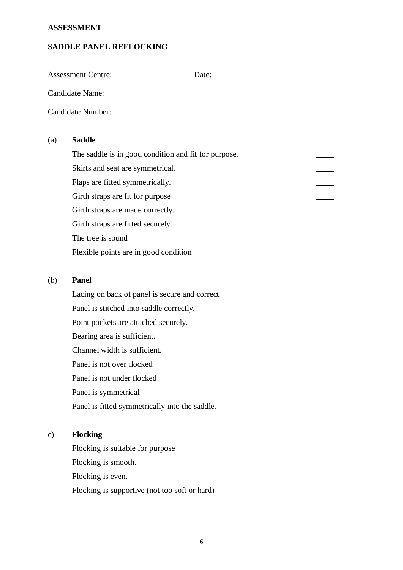#### **ASSESSMENT**

#### **SADDLE PANEL REFLOCKING**

|     | <b>Assessment Centre:</b><br>Date:                   |  |
|-----|------------------------------------------------------|--|
|     | Candidate Name:                                      |  |
|     | Candidate Number:                                    |  |
| (a) | <b>Saddle</b>                                        |  |
|     | The saddle is in good condition and fit for purpose. |  |
|     | Skirts and seat are symmetrical.                     |  |
|     | Flaps are fitted symmetrically.                      |  |
|     | Girth straps are fit for purpose                     |  |
|     | Girth straps are made correctly.                     |  |
|     | Girth straps are fitted securely.                    |  |
|     | The tree is sound                                    |  |
|     | Flexible points are in good condition                |  |
| (b) | <b>Panel</b>                                         |  |

 $\mathbb{R}$ 

 $\overline{\phantom{a}}$  $\overline{\phantom{a}}$ 

## Lacing on back of panel is secure and correct. Panel is stitched into saddle correctly. Point pockets are attached securely. Bearing area is sufficient. Channel width is sufficient. Panel is not over flocked Panel is not under flocked Panel is symmetrical Panel is fitted symmetrically into the saddle.

## c) **Flocking**

| Flocking is suitable for purpose              |  |
|-----------------------------------------------|--|
| Flocking is smooth.                           |  |
| Flocking is even.                             |  |
| Flocking is supportive (not too soft or hard) |  |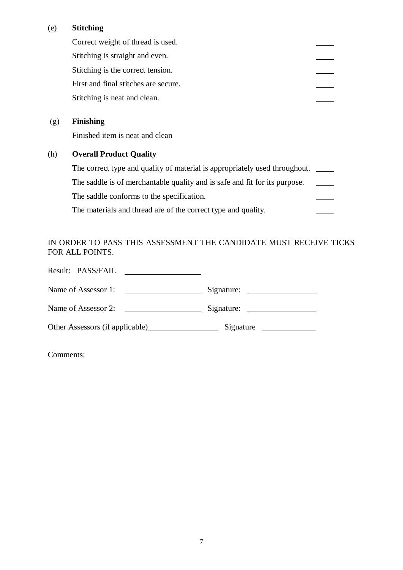## (e) **Stitching**

|     | Correct weight of thread is used.                                          |  |
|-----|----------------------------------------------------------------------------|--|
|     | Stitching is straight and even.                                            |  |
|     | Stitching is the correct tension.                                          |  |
|     | First and final stitches are secure.                                       |  |
|     | Stitching is neat and clean.                                               |  |
|     |                                                                            |  |
| (g) | <b>Finishing</b>                                                           |  |
|     | Finished item is neat and clean                                            |  |
| (h) | <b>Overall Product Quality</b>                                             |  |
|     | The correct type and quality of material is appropriately used throughout. |  |
|     | The saddle is of merchantable quality and is safe and fit for its purpose. |  |
|     | The saddle conforms to the specification.                                  |  |
|     | The materials and thread are of the correct type and quality.              |  |
|     |                                                                            |  |

## IN ORDER TO PASS THIS ASSESSMENT THE CANDIDATE MUST RECEIVE TICKS FOR ALL POINTS.

| Result: PASS/FAIL   |            |
|---------------------|------------|
| Name of Assessor 1: | Signature: |
| Name of Assessor 2: |            |
|                     | Signature  |

Comments: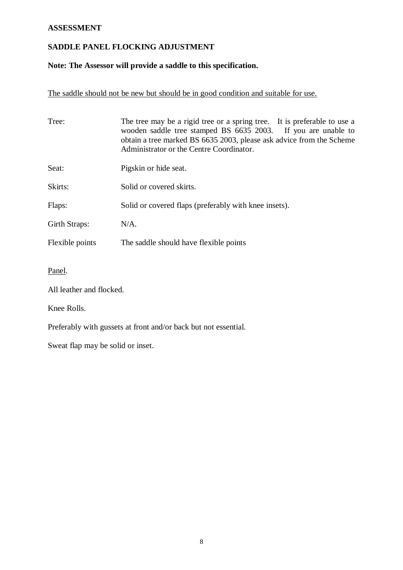## **ASSESSMENT**

## **SADDLE PANEL FLOCKING ADJUSTMENT**

## **Note: The Assessor will provide a saddle to this specification.**

The saddle should not be new but should be in good condition and suitable for use.

| Tree:                                                           | The tree may be a rigid tree or a spring tree. It is preferable to use a<br>wooden saddle tree stamped BS 6635 2003. If you are unable to<br>obtain a tree marked BS 6635 2003, please ask advice from the Scheme<br>Administrator or the Centre Coordinator. |  |
|-----------------------------------------------------------------|---------------------------------------------------------------------------------------------------------------------------------------------------------------------------------------------------------------------------------------------------------------|--|
| Seat:                                                           | Pigskin or hide seat.                                                                                                                                                                                                                                         |  |
| Skirts:                                                         | Solid or covered skirts.                                                                                                                                                                                                                                      |  |
| Flaps:                                                          | Solid or covered flaps (preferably with knee insets).                                                                                                                                                                                                         |  |
| Girth Straps:                                                   | $N/A$ .                                                                                                                                                                                                                                                       |  |
| Flexible points<br>The saddle should have flexible points       |                                                                                                                                                                                                                                                               |  |
| Panel.                                                          |                                                                                                                                                                                                                                                               |  |
| All leather and flocked.                                        |                                                                                                                                                                                                                                                               |  |
| Knee Rolls.                                                     |                                                                                                                                                                                                                                                               |  |
| Preferably with gussets at front and/or back but not essential. |                                                                                                                                                                                                                                                               |  |

Sweat flap may be solid or inset.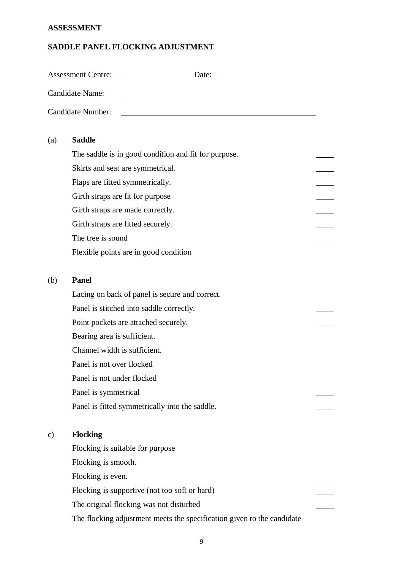## **ASSESSMENT**

## **SADDLE PANEL FLOCKING ADJUSTMENT**

|     | <b>Assessment Centre:</b><br>Date:                                       |  |
|-----|--------------------------------------------------------------------------|--|
|     | Candidate Name:                                                          |  |
|     | <b>Candidate Number:</b><br><u> 1980 - Jan Samuel Barbara, martin di</u> |  |
| (a) | <b>Saddle</b>                                                            |  |
|     | The saddle is in good condition and fit for purpose.                     |  |
|     | Skirts and seat are symmetrical.                                         |  |
|     | Flaps are fitted symmetrically.                                          |  |
|     | Girth straps are fit for purpose                                         |  |
|     | Girth straps are made correctly.                                         |  |
|     | Girth straps are fitted securely.                                        |  |
|     | The tree is sound                                                        |  |
|     | Flexible points are in good condition                                    |  |
| (b) | <b>Panel</b>                                                             |  |
|     | Lacing on back of panel is secure and correct.                           |  |
|     | Panel is stitched into saddle correctly.                                 |  |
|     | Point pockets are attached securely.                                     |  |
|     | Bearing area is sufficient.                                              |  |
|     | Channel width is sufficient.                                             |  |
|     | Panel is not over flocked                                                |  |
|     | Panel is not under flocked                                               |  |
|     | Panel is symmetrical                                                     |  |
|     | Panel is fitted symmetrically into the saddle.                           |  |
| c)  | <b>Flocking</b>                                                          |  |
|     | Flocking is suitable for purpose                                         |  |
|     | Flocking is smooth.                                                      |  |
|     | Flocking is even.                                                        |  |
|     | Flocking is supportive (not too soft or hard)                            |  |
|     | The original flocking was not disturbed                                  |  |
|     | The flocking adjustment meets the specification given to the candidate   |  |